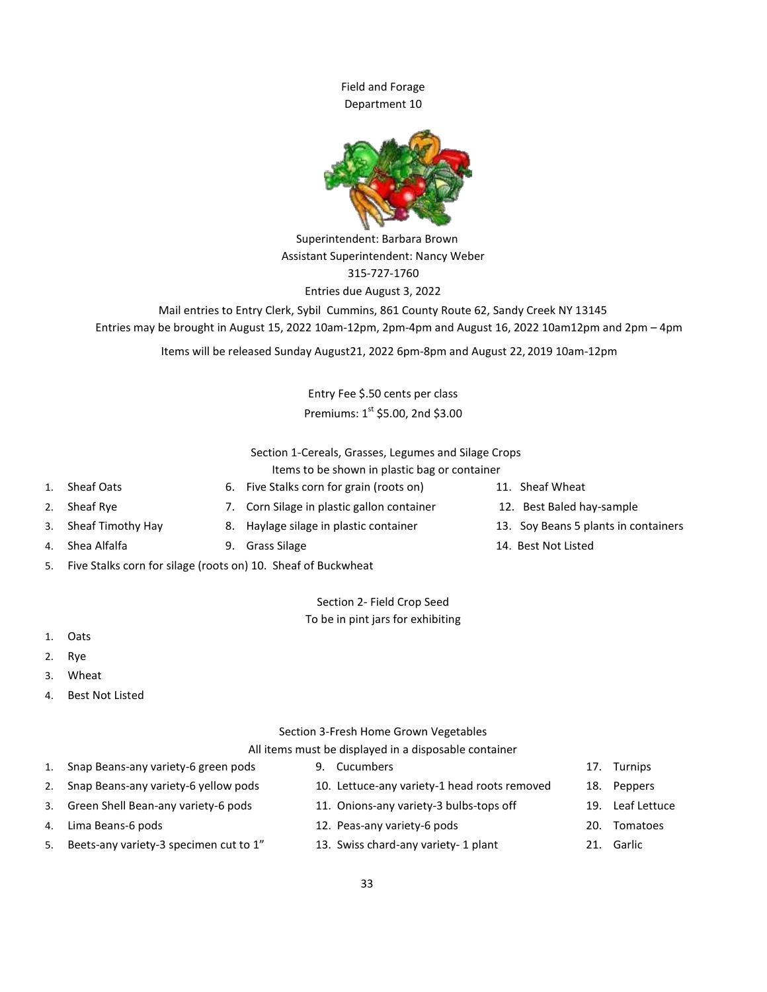Field and Forage Department 10



Superintendent: Barbara Brown Assistant Superintendent: Nancy Weber 315-727-1760 Entries due August 3, 2022

Mail entries to Entry Clerk, Sybil Cummins, 861 County Route 62, Sandy Creek NY 13145 Entries may be brought in August 15, 2022 10am-12pm, 2pm-4pm and August 16, 2022 10am12pm and 2pm – 4pm

Items will be released Sunday August21, 2022 6pm-8pm and August 22, 2019 10am-12pm

Entry Fee \$.50 cents per class Premiums:  $1^{st}$  \$5.00, 2nd \$3.00

Section 1-Cereals, Grasses, Legumes and Silage Crops Items to be shown in plastic bag or container

- 
- 1. Sheaf Oats 6. Five Stalks corn for grain (roots on) 11. Sheaf Wheat
	-
	-
- 4. Shea Alfalfa 9. Grass Silage 14. Best Not Listed
- 5. Five Stalks corn for silage (roots on) 10. Sheaf of Buckwheat

Section 2- Field Crop Seed To be in pint jars for exhibiting

- 1. Oats
- 2. Rye
- 3. Wheat
- 4. Best Not Listed

## Section 3-Fresh Home Grown Vegetables

## All items must be displayed in a disposable container

- 1. Snap Beans-any variety-6 green pods 9. Cucumbers 17. Turnips
- 2. Snap Beans-any variety-6 yellow pods 10. Lettuce-any variety-1 head roots removed 18. Peppers
- 3. Green Shell Bean-any variety-6 pods 11. Onions-any variety-3 bulbs-tops off 19. Leaf Lettuce
- 
- 5. Beets-any variety-3 specimen cut to 1" 13. Swiss chard-any variety-1 plant 21. Garlic
- 
- 
- 
- 4. Lima Beans-6 pods 12. Peas-any variety-6 pods 20. Tomatoes
	-
- 
- 
- 
- 
- 
- 2. Sheaf Rye **7. Corn Silage in plastic gallon container** 12. Best Baled hay-sample
	-
- 3. Sheaf Timothy Hay 8. Haylage silage in plastic container 13. Soy Beans 5 plants in containers
	-